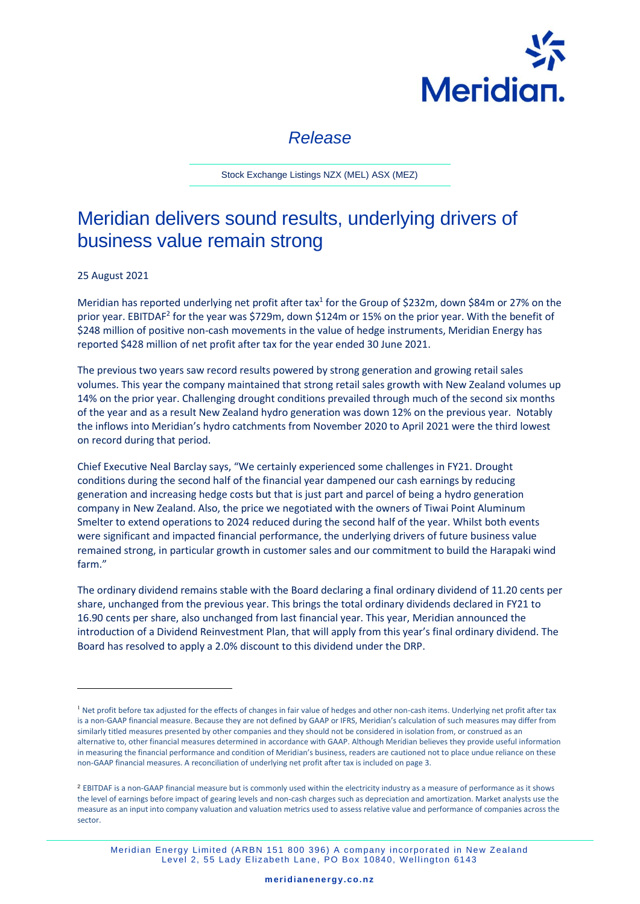

# *Release*

Stock Exchange Listings NZX (MEL) ASX (MEZ)

# Meridian delivers sound results, underlying drivers of business value remain strong

25 August 2021

Meridian has reported underlying net profit after tax<sup>1</sup> for the Group of \$232m, down \$84m or 27% on the prior year. EBITDAF<sup>2</sup> for the year was \$729m, down \$124m or 15% on the prior year. With the benefit of \$248 million of positive non-cash movements in the value of hedge instruments, Meridian Energy has reported \$428 million of net profit after tax for the year ended 30 June 2021.

The previous two years saw record results powered by strong generation and growing retail sales volumes. This year the company maintained that strong retail sales growth with New Zealand volumes up 14% on the prior year. Challenging drought conditions prevailed through much of the second six months of the year and as a result New Zealand hydro generation was down 12% on the previous year. Notably the inflows into Meridian's hydro catchments from November 2020 to April 2021 were the third lowest on record during that period.

Chief Executive Neal Barclay says, "We certainly experienced some challenges in FY21. Drought conditions during the second half of the financial year dampened our cash earnings by reducing generation and increasing hedge costs but that is just part and parcel of being a hydro generation company in New Zealand. Also, the price we negotiated with the owners of Tiwai Point Aluminum Smelter to extend operations to 2024 reduced during the second half of the year. Whilst both events were significant and impacted financial performance, the underlying drivers of future business value remained strong, in particular growth in customer sales and our commitment to build the Harapaki wind farm."

The ordinary dividend remains stable with the Board declaring a final ordinary dividend of 11.20 cents per share, unchanged from the previous year. This brings the total ordinary dividends declared in FY21 to 16.90 cents per share, also unchanged from last financial year. This year, Meridian announced the introduction of a Dividend Reinvestment Plan, that will apply from this year's final ordinary dividend. The Board has resolved to apply a 2.0% discount to this dividend under the DRP.

<sup>&</sup>lt;sup>1</sup> Net profit before tax adjusted for the effects of changes in fair value of hedges and other non-cash items. Underlying net profit after tax is a non-GAAP financial measure. Because they are not defined by GAAP or IFRS, Meridian's calculation of such measures may differ from similarly titled measures presented by other companies and they should not be considered in isolation from, or construed as an alternative to, other financial measures determined in accordance with GAAP. Although Meridian believes they provide useful information in measuring the financial performance and condition of Meridian's business, readers are cautioned not to place undue reliance on these non-GAAP financial measures. A reconciliation of underlying net profit after tax is included on page 3.

<sup>&</sup>lt;sup>2</sup> EBITDAF is a non-GAAP financial measure but is commonly used within the electricity industry as a measure of performance as it shows the level of earnings before impact of gearing levels and non-cash charges such as depreciation and amortization. Market analysts use the measure as an input into company valuation and valuation metrics used to assess relative value and performance of companies across the sector.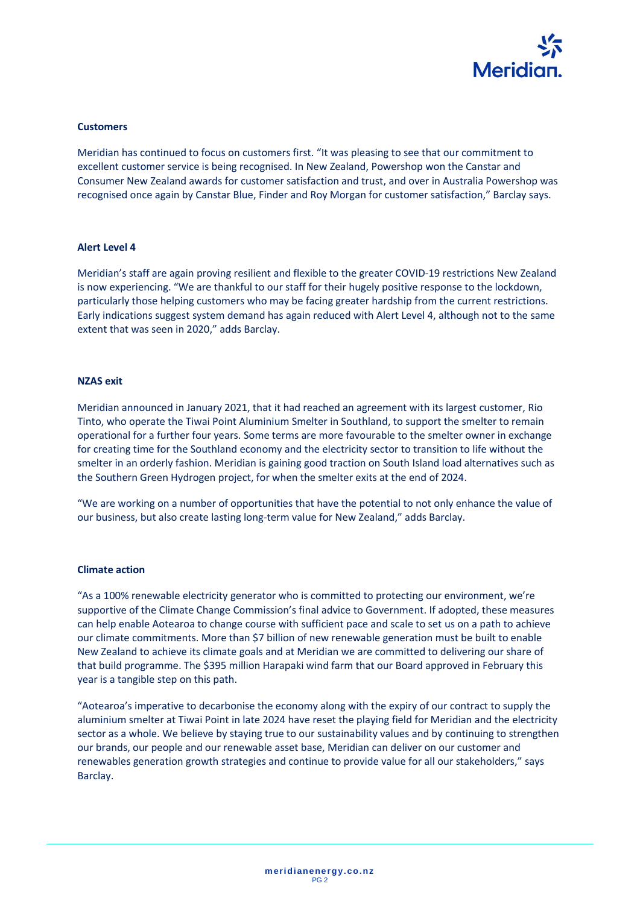

#### **Customers**

Meridian has continued to focus on customers first. "It was pleasing to see that our commitment to excellent customer service is being recognised. In New Zealand, Powershop won the Canstar and Consumer New Zealand awards for customer satisfaction and trust, and over in Australia Powershop was recognised once again by Canstar Blue, Finder and Roy Morgan for customer satisfaction," Barclay says.

#### **Alert Level 4**

Meridian's staff are again proving resilient and flexible to the greater COVID-19 restrictions New Zealand is now experiencing. "We are thankful to our staff for their hugely positive response to the lockdown, particularly those helping customers who may be facing greater hardship from the current restrictions. Early indications suggest system demand has again reduced with Alert Level 4, although not to the same extent that was seen in 2020," adds Barclay.

### **NZAS exit**

Meridian announced in January 2021, that it had reached an agreement with its largest customer, Rio Tinto, who operate the Tiwai Point Aluminium Smelter in Southland, to support the smelter to remain operational for a further four years. Some terms are more favourable to the smelter owner in exchange for creating time for the Southland economy and the electricity sector to transition to life without the smelter in an orderly fashion. Meridian is gaining good traction on South Island load alternatives such as the Southern Green Hydrogen project, for when the smelter exits at the end of 2024.

"We are working on a number of opportunities that have the potential to not only enhance the value of our business, but also create lasting long-term value for New Zealand," adds Barclay.

#### **Climate action**

"As a 100% renewable electricity generator who is committed to protecting our environment, we're supportive of the Climate Change Commission's final advice to Government. If adopted, these measures can help enable Aotearoa to change course with sufficient pace and scale to set us on a path to achieve our climate commitments. More than \$7 billion of new renewable generation must be built to enable New Zealand to achieve its climate goals and at Meridian we are committed to delivering our share of that build programme. The \$395 million Harapaki wind farm that our Board approved in February this year is a tangible step on this path.

"Aotearoa's imperative to decarbonise the economy along with the expiry of our contract to supply the aluminium smelter at Tiwai Point in late 2024 have reset the playing field for Meridian and the electricity sector as a whole. We believe by staying true to our sustainability values and by continuing to strengthen our brands, our people and our renewable asset base, Meridian can deliver on our customer and renewables generation growth strategies and continue to provide value for all our stakeholders," says Barclay.